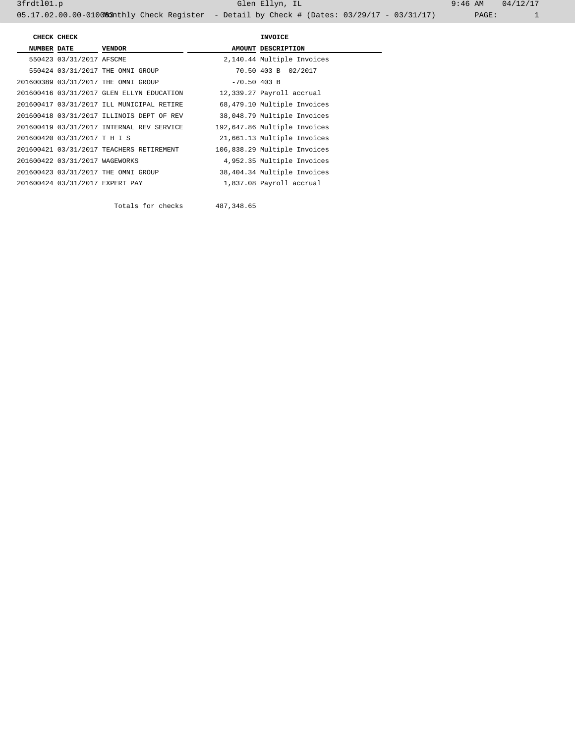|                    | CHECK CHECK                     |                                           | INVOICE        |                              |  |
|--------------------|---------------------------------|-------------------------------------------|----------------|------------------------------|--|
| <b>NUMBER DATE</b> |                                 | <b>VENDOR</b>                             |                | AMOUNT DESCRIPTION           |  |
|                    | 550423 03/31/2017 AFSCME        |                                           |                | 2,140.44 Multiple Invoices   |  |
|                    |                                 | 550424 03/31/2017 THE OMNI GROUP          |                | 70.50 403 B 02/2017          |  |
|                    |                                 | 201600389 03/31/2017 THE OMNI GROUP       | $-70.50$ 403 B |                              |  |
|                    |                                 | 201600416 03/31/2017 GLEN ELLYN EDUCATION |                | 12,339.27 Payroll accrual    |  |
|                    |                                 | 201600417 03/31/2017 ILL MUNICIPAL RETIRE |                | 68,479.10 Multiple Invoices  |  |
|                    |                                 | 201600418 03/31/2017 ILLINOIS DEPT OF REV |                | 38,048.79 Multiple Invoices  |  |
|                    |                                 | 201600419 03/31/2017 INTERNAL REV SERVICE |                | 192,647.86 Multiple Invoices |  |
|                    | 201600420 03/31/2017 T H I S    |                                           |                | 21,661.13 Multiple Invoices  |  |
|                    |                                 | 201600421 03/31/2017 TEACHERS RETIREMENT  |                | 106,838.29 Multiple Invoices |  |
|                    | 201600422 03/31/2017 WAGEWORKS  |                                           |                | 4,952.35 Multiple Invoices   |  |
|                    |                                 | 201600423 03/31/2017 THE OMNI GROUP       |                | 38,404.34 Multiple Invoices  |  |
|                    | 201600424 03/31/2017 EXPERT PAY |                                           |                | 1,837.08 Payroll accrual     |  |

Totals for checks 487,348.65